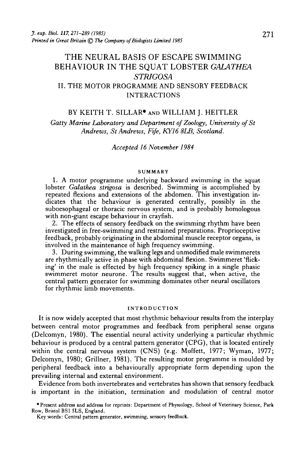# THE NEURAL BASIS OF ESCAPE SWIMMING BEHAVIOUR IN THE SQUAT LOBSTER *GALATHEA STRIGOSA* II. THE MOTOR PROGRAMME AND SENSORY FEEDBACK INTERACTIONS

## BY KEITH T. SILLAR\* AND WILLIAM J. HEITLER

*Gatty Marine Laboratory and Department of Zoology, University of St Andrews, St Andrews, Fife, KYI 6 8LB, Scotland.*

*Accepted 16 November 1984*

#### SUMMARY

1. A motor programme underlying backward swimming in the squat lobster *Galathea strigosa* is described. Swimming is accomplished by repeated flexions and extensions of the abdomen. This investigation indicates that the behaviour is generated centrally, possibly in the suboesophageal or thoracic nervous system, and is probably homologous with non-giant escape behaviour in crayfish.

2. The effects of sensory feedback on the swimming rhythm have been investigated in free-swimming and restrained preparations. Proprioceptive feedback, probably originating in the abdominal muscle receptor organs, is involved in the maintenance of high frequency swimming.

3. During swimming, the walking legs and unmodified male swimmerets are rhythmically active in phase with abdominal flexion. Swimmeret 'flicking' in the male is effected by high frequency spiking in a single phasic swimmeret motor neurone. The results suggest that, when active, the central pattern generator for swimming dominates other neural oscillators for rhythmic limb movements.

#### INTRODUCTION

It is now widely accepted that most rhythmic behaviour results from the interplay between central motor programmes and feedback from peripheral sense organs (Delcomyn, 1980). The essential neural activity underlying a particular rhythmic behaviour is produced by a central pattern generator (CPG), that is located entirely within the central nervous system (CNS) (e.g. Moffett, 1977; Wyman, 1977; Delcomyn, 1980; Grillner, 1981). The resulting motor programme is moulded by peripheral feedback into a behaviourally appropriate form depending upon the prevailing internal and external environment.

Evidence from both invertebrates and vertebrates has shown that sensory feedback is important in the initiation, termination and modulation of central motor

<sup>•</sup>Present address and address for reprints: Department of Physiology, School of Veterinary Science, Park Row, Bristol BS1 SLS, England.

Key words: Central pattern generator, swimming, sensory feedback.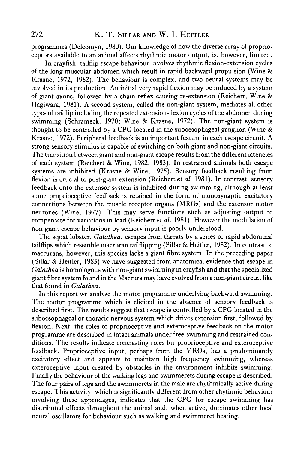programmes (Delcomyn, 1980). Our knowledge of how the diverse array of proprioceptors available to an animal affects rhythmic motor output, is, however, limited.

In crayfish, tailflip escape behaviour involves rhythmic flexion-extension cycles of the long muscular abdomen which result in rapid backward propulsion (Wine & Krasne, 1972, 1982). The behaviour is complex, and two neural systems may be involved in its production. An initial very rapid flexion may be induced by a system of giant axons, followed by a chain reflex causing re-extension (Reichert, Wine & Hagiwara, 1981). A second system, called the non-giant system, mediates all other types of tailflip including the repeated extension-flexion cycles of the abdomen during swimming (Schrameck, 1970; Wine & Krasne, 1972). The non-giant system is thought to be controlled by a CPG located in the suboesophageal ganglion (Wine  $\&$ Krasne, 1972). Peripheral feedback is an important feature in each escape circuit. A strong sensory stimulus is capable of switching on both giant and non-giant circuits. The transition between giant and non-giant escape results from the different latencies of each system (Reichert & Wine, 1982, 1983). In restrained animals both escape systems are inhibited (Krasne & Wine, 1975). Sensory feedback resulting from flexion is crucial to post-giant extension (Reichert *et al.* 1981). In contrast, sensory feedback onto the extensor system is inhibited during swimming, although at least some proprioceptive feedback is retained in the form of monosynaptic excitatory connections between the muscle receptor organs (MROs) and the extensor motor neurones (Wine, 1977). This may serve functions such as adjusting output to compensate for variations in load (Reichert *et al.* 1981). However the modulation of non-giant escape behaviour by sensory input is poorly understood.

The squat lobster, *Galathea,* escapes from threats by a series of rapid abdominal tailflips which resemble macruran tailflipping (Sillar & Heitler, 1982). In contrast to macrurans, however, this species lacks a giant fibre system. In the preceding paper (Sillar & Heitler, 1985) we have suggested from anatomical evidence that escape in *Galathea* is homologous with non-giant swimming in crayfish and that the specialized giant fibre system found in the Macrura may have evolved from a non-giant circuit like that found in *Galathea.*

In this report we analyse the motor programme underlying backward swimming. The motor programme which is elicited in the absence of sensory feedback is described first. The results suggest that escape is controlled by a CPG located in the suboesophageal or thoracic nervous system which drives extension first, followed by flexion. Next, the roles of proprioceptive and exteroceptive feedback on the motor programme are described in intact animals under free-swimming and restrained conditions. The results indicate contrasting roles for proprioceptive and exteroceptive feedback. Proprioceptive input, perhaps from the MROs, has a predominantly excitatory effect and appears to maintain high frequency swimming, whereas exteroceptive input created by obstacles in the environment inhibits swimming. Finally the behaviour of the walking legs and swimmerets during escape is described. The four pairs of legs and the swimmerets in the male are rhythmically active during escape. This activity, which is significantly different from other rhythmic behaviour involving these appendages, indicates that the CPG for escape swimming has distributed effects throughout the animal and, when active, dominates other local neural oscillators for behaviour such as walking and swimmeret beating.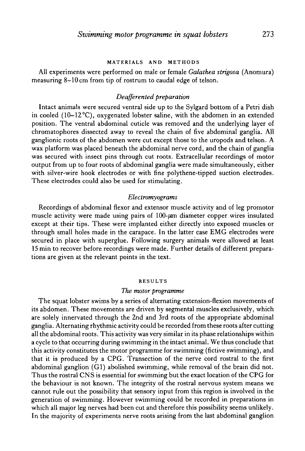#### MATERIALS AND METHODS

All experiments were performed on male or female *Galathea strigosa* (Anomura) measuring 8-10 cm from tip of rostrum to caudal edge of telson.

## *Deqfferented preparation*

Intact animals were secured ventral side up to the Sylgard bottom of a Petri dish in cooled (10-12°C), oxygenated lobster saline, with the abdomen in an extended position. The ventral abdominal cuticle was removed and the underlying layer of chromatophores dissected away to reveal the chain of five abdominal ganglia. All ganglionic roots of the abdomen were cut except those to the uropods and telson. A wax platform was placed beneath the abdominal nerve cord, and the chain of ganglia was secured with insect pins through cut roots. Extracellular recordings of motor output from up to four roots of abdominal ganglia were made simultaneously, either with silver-wire hook electrodes or with fine polythene-tipped suction electrodes. These electrodes could also be used for stimulating.

#### *Electromyograms*

Recordings of abdominal flexor and extensor muscle activity and of leg promotor muscle activity were made using pairs of  $100$ - $\mu$ m diameter copper wires insulated except at their tips. These were implanted either directly into exposed muscles or through small holes made in the carapace. In the latter case EMG electrodes were secured in place with superglue. Following surgery animals were allowed at least 15 min to recover before recordings were made. Further details of different preparations are given at the relevant points in the text.

#### RESULTS

## *The motor programme*

The squat lobster swims by a series of alternating extension-flexion movements of its abdomen. These movements are driven by segmental muscles exclusively, which are solely innervated through the 2nd and 3rd roots of the appropriate abdominal ganglia. Alternating rhythmic activity could be recorded from these roots after cutting all the abdominal roots. This activity was very similar in its phase relationships within a cycle to that occurring during swimming in the intact animal. We thus conclude that this activity constitutes the motor programme for swimming (fictive swimming), and that it is produced by a CPG. Transection of the nerve cord rostral to the first abdominal ganglion (Gl) abolished swimming, while removal of the brain did not. Thus the rostral CNS is essential for swimming but the exact location of the CPG for the behaviour is not known. The integrity of the rostral nervous system means we cannot rule out the possibility that sensory input from this region is involved in the generation of swimming. However swimming could be recorded in preparations in which all major leg nerves had been cut and therefore this possibility seems unlikely. In the majority of experiments nerve roots arising from the last abdominal ganglion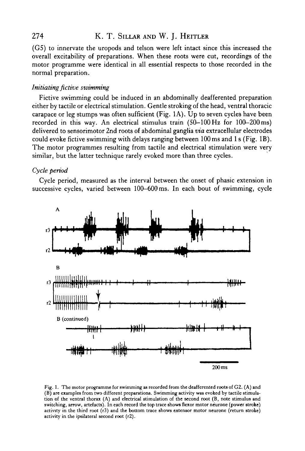# 274 K. T. SILLAR AND W. J. HEITLER

(G5) to innervate the uropods and telson were left intact since this increased the overall excitability of preparations. When these roots were cut, recordings of the motor programme were identical in all essential respects to those recorded in the normal preparation.

## *Initiating fictive swimming*

Fictive swimming could be induced in an abdominally deafferented preparation either by tactile or electrical stimulation. Gentle stroking of the head, ventral thoracic carapace or leg stumps was often sufficient (Fig. 1A). Up to seven cycles have been recorded in this way. An electrical stimulus train (50-100 Hz for 100-200 ms) delivered to sensorimotor 2nd roots of abdominal ganglia *via* extracellular electrodes could evoke fictive swimming with delays ranging between 100 ms and 1 s (Fig. IB). The motor programmes resulting from tactile and electrical stimulation were very similar, but the latter technique rarely evoked more than three cycles.

## *Cycle period*

Cycle period, measured as the interval between the onset of phasic extension in successive cycles, varied between 100-600 ms. In each bout of swimming, cycle



Fig. 1. The motor programme for swimming as recorded from the deafferented roots of G2. (A) and (B) are examples from two different preparations. Swimming activity was evoked by tactile stimulation of the ventral thorax (A) and electrical stimulation of the second root (B, note stimulus and switching, arrow, artefacts). In each record the top trace shows flexor motor neurone (power stroke) activity in the third root (r3) and the bottom trace shows extensor motor neurone (return stroke) activity in the ipsilateral second root (r2).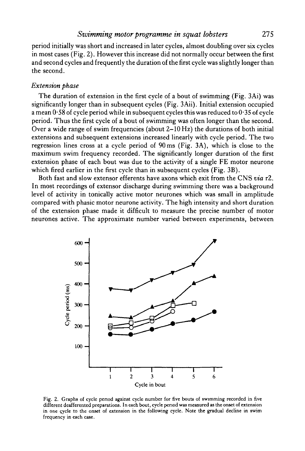period initially was short and increased in later cycles, almost doubling over six cycles in most cases (Fig. 2). However this increase did not normally occur between the first and second cycles and frequently the duration of the first cycle was slightly longer than the second.

# *Extension phase*

The duration of extension in the first cycle of a bout of swimming (Fig. 3Ai) was significantly longer than in subsequent cycles (Fig. 3Aii). Initial extension occupied a mean  $0.58$  of cycle period while in subsequent cycles this was reduced to  $0.35$  of cycle period. Thus the first cycle of a bout of swimming was often longer than the second. Over a wide range of swim frequencies (about 2-10 Hz) the durations of both initial extensions and subsequent extensions increased linearly with cycle period. The two regression lines cross at a cycle period of 90 ms (Fig. 3A), which is close to the maximum swim frequency recorded. The significantly longer duration of the first extension phase of each bout was due to the activity of a single FE motor neurone which fired earlier in the first cycle than in subsequent cycles (Fig. 3B).

Both fast and slow extensor efferents have axons which exit from the CNS *via* r2. In most recordings of extensor discharge during swimming there was a background level of activity in tonically active motor neurones which was small in amplitude compared with phasic motor neurone activity. The high intensity and short duration of the extension phase made it difficult to measure the precise number of motor neurones active. The approximate number varied between experiments, between



Fig. 2. Graphs of cycle period against cycle number for five bouts of swimming recorded in five different deafferented preparations. In each bout, cycle period was measured as the onset of extension in one cycle to the onset of extension in the following cycle. Note the gradual decline in swim frequency in each case.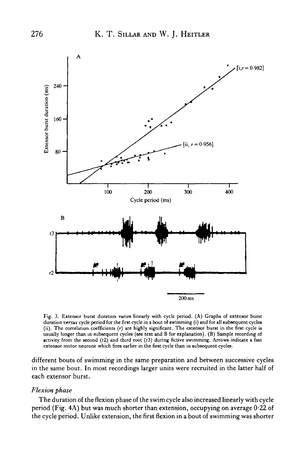

Fig. 3. Extensor burst duration varies linearly with cycle period. (A) Graphs of extensor burst duration *versus* cycle period for the first cycle in a bout of swimming (i) and for all subsequent cycles (ii). The correlation coefficients (r) are highly significant. The extensor burst in the first cycle is usually longer than in subsequent cycles (see text and B for explanation). (B) Sample recording of activity from the second (r2) and third root (r3) during fictive swimming. Arrows indicate a fast extensor motor neurone which fires earlier in the first cycle than in subsequent cycles.

different bouts of swimming in the same preparation and between successive cycles in the same bout. In most recordings larger units were recruited in the latter half of each extensor burst.

## *Flexion phase*

The duration of the flexion phase of the swim cycle also increased linearly with cycle period (Fig. 4A) but was much shorter than extension, occupying on average 0-22 of the cycle period. Unlike extension, the first flexion in a bout of swimming was shorter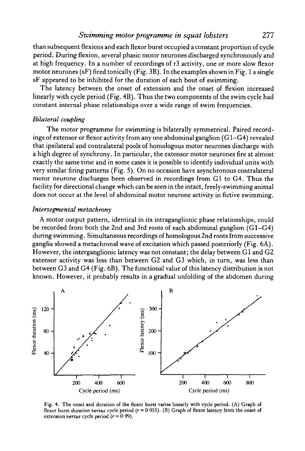# *Swimming motor programme in squat lobsters* 277

than subsequent flexions and each flexor burst occupied a constant proportion of cycle period. During flexion, several phasic motor neurones discharged synchronously and at high frequency. In a number of recordings of r3 activity, one or more slow flexor motor neurones (sF) fired tonically (Fig. 3B). In the examples shown in Fig. 1 a single sF appeared to be inhibited for the duration of each bout of swimming.

The latency between the onset of extension and the onset of flexion increased linearly with cycle period (Fig. 4B). Thus the two components of the swim cycle had constant internal phase relationships over a wide range of swim frequencies.

## *Bilateral coupling*

The motor programme for swimming is bilaterally symmetrical. Paired recordings of extensor or flexor activity from any one abdominal ganglion (G1-G4) revealed that ipsilateral and contralateral pools of homologous motor neurones discharge with a high degree of synchrony. In particular, the extensor motor neurones fire at almost exactly the same time and in some cases it is possible to identify individual units with very similar firing patterns (Fig. 5). On no occasion have asynchronous contralateral motor neurone discharges been observed in recordings from Gl to G4. Thus the facility for directional change which can be seen in the intact, freely-swimming animal does not occur at the level of abdominal motor neurone activity in fictive swimming.

## *Intersegmental metachrony*

A motor output pattern, identical in its intraganglionic phase relationships, could be recorded from both the 2nd and 3rd roots of each abdominal ganglion (Gl—G4) during swimming. Simultaneous recordings of homologous 2nd roots from successive ganglia showed a metachronal wave of excitation which passed posteriorly (Fig. 6A). However, the interganglionic latency was not constant; the delay between Gl and G2 extensor activity was less than between G2 and G3 which, in turn, was less than between G3 and G4 (Fig. 6B). The functional value of this latency distribution is not known. However, it probably results in a gradual unfolding of the abdomen during



Fig. 4. The onset and duration of the flexor burst varies linearly with cycle period. (A) Graph of flexor burst duration *versus* cycle period *(r=* 0-955). (B) Graph of flexor latency from the onset of extension *versus* cycle period  $(r = 0.99)$ .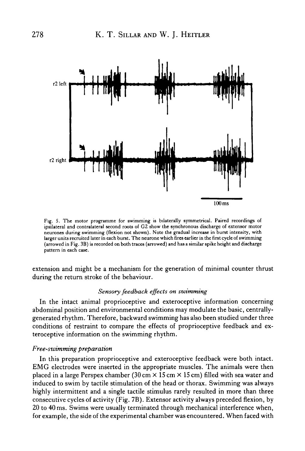

Fig. S. The motor programme for swimming is bilaterally symmetrical. Paired recordings of ipsilateral and contralateral second roots of G2 show the synchronous discharge of extensor motor neurones during swimming (flexion not shown). Note the gradual increase in burst intensity, with larger units recruited later in each burst. The neurone which fires earlier in the first cycle of swimming (arrowed in Fig. 3B) is recorded on both traces (arrowed) and has a similar spike height and discharge pattern in each case.

extension and might be a mechanism for the generation of minimal counter thrust during the return stroke of the behaviour.

### *Sensory feedback effects on swimming*

In the intact animal proprioceptive and exteroceptive information concerning abdominal position and environmental conditions may modulate the basic, centrallygenerated rhythm. Therefore, backward swimming has also been studied under three conditions of restraint to compare the effects of proprioceptive feedback and exteroceptive information on the swimming rhythm.

## *Free-swimming preparation*

In this preparation proprioceptive and exteroceptive feedback were both intact. EMG electrodes were inserted in the appropriate muscles. The animals were then placed in a large Perspex chamber (30 cm  $\times$  15 cm  $\times$  15 cm) filled with sea water and induced to swim by tactile stimulation of the head or thorax. Swimming was always highly intermittent and a single tactile stimulus rarely resulted in more than three consecutive cycles of activity (Fig. 7B). Extensor activity always preceded flexion, by 20 to 40 ms. Swims were usually terminated through mechanical interference when, for example, the side of the experimental chamber was encountered. When faced with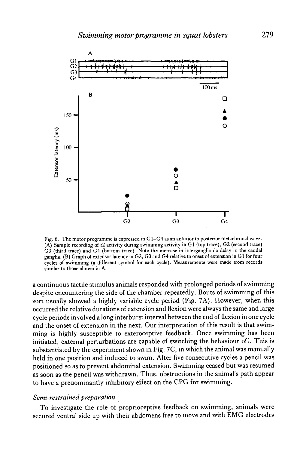

Fig. 6. The motor programme is expressed in G1-G4 as an anterior to posterior metachronal wave. (A) Sample recording of r2 activity during swimming activity in Gl (top trace), G2 (second trace) G3 (third trace) and G4 (bottom trace). Note the increase in interganglionic delay in the caudal ganglia. (B) Graph of extensor latency in G2, G3 and G4 relative to onset of extension in Gl for four cycles of swimming (a different symbol for each cycle). Measurements were made from records similar to those shown in A.

a continuous tactile stimulus animals responded with prolonged periods of swimming despite encountering the side of the chamber repeatedly. Bouts of swimming of this sort usually showed a highly variable cycle period (Fig. 7A). However, when this occurred the relative durations of extension and flexion were always the same and large cycle periods involved a long interburst interval between the end of flexion in one cycle and the onset of extension in the next. Our interpretation of this result is that swimming is highly susceptible to exteroceptive feedback. Once swimming has been initiated, external perturbations are capable of switching the behaviour off. This is substantiated by the experiment shown in Fig. 7C, in which the animal was manually held in one position and induced to swim. After five consecutive cycles a pencil was positioned so as to prevent abdominal extension. Swimming ceased but was resumed as soon as the pencil was withdrawn. Thus, obstructions in the animal's path appear to have a predominantly inhibitory effect on the CPG for swimming.

## *Semi-restrained preparation*

To investigate the role of proprioceptive feedback on swimming, animals were secured ventral side up with their abdomens free to move and with EMG electrodes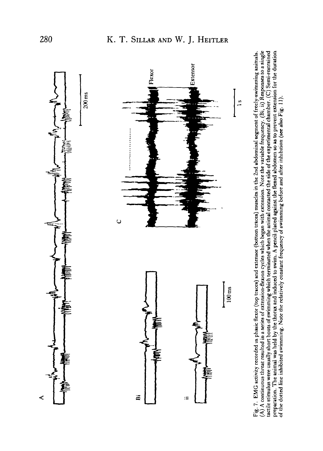

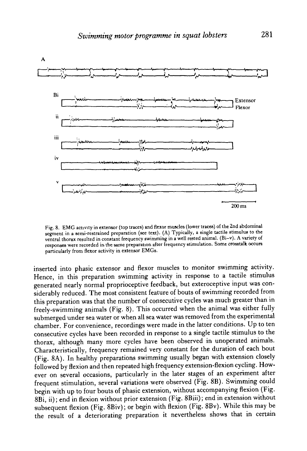

Fig. 8. EMG activity in extensor (top traces) and flexor muscles (lower traces) of the 2nd abdominal segment in a semi-restrained preparation (see text). (A) Typically, a single tactile stimulus to the ventral thorax resulted in constant frequency swimming in a well rested animal. (Bi-v). A variety of responses were recorded in the same preparation after frequency stimulation. Some crosstalk occurs particularly from flexor activity in extensor EMGs.

inserted into phasic extensor and flexor muscles to monitor swimming activity. Hence, in this preparation swimming activity in response to a tactile stimulus generated nearly normal proprioceptive feedback, but exteroceptive input was considerably reduced. The most consistent feature of bouts of swimming recorded from this preparation was that the number of consecutive cycles was much greater than in freely-swimming animals (Fig. 8). This occurred when the animal was either fully submerged under sea water or when all sea water was removed from the experimental chamber. For convenience, recordings were made in the latter conditions. Up to ten consecutive cycles have been recorded in response to a single tactile stimulus to the thorax, although many more cycles have been observed in unoperated animals. Characteristically, frequency remained very constant for the duration of each bout (Fig. 8A). In healthy preparations swimming usually began with extension closely followed by flexion and then repeated high frequency extension-flexion cycling. However on several occasions, particularly in the later stages of an experiment after frequent stimulation, several variations were observed (Fig. 8B). Swimming could begin with up to four bouts of phasic extension, without accompanying flexion (Fig. 8Bi, ii); end in flexion without prior extension (Fig. 8Biii); end in extension without subsequent flexion (Fig. 8Biv); or begin with flexion (Fig. 8Bv). While this may be the result of a deteriorating preparation it nevertheless shows that in certain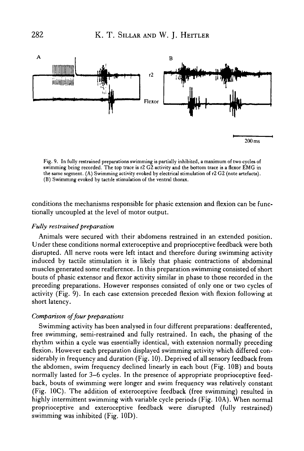

Fig. 9. In fully restrained preparations swimming is partially inhibited, a maximum of two cycles of swimming being recorded. The top trace is r2 G2 activity and the bottom trace is a flexor EMG in the same segment. (A) Swimming activity evoked by electrical stimulation of r2 G2 (note artefacts). (B) Swimming evoked by tactile stimulation of the ventral thorax.

conditions the mechanisms responsible for phasic extension and flexion can be functionally uncoupled at the level of motor output.

## *Fully restrained preparation*

Animals were secured with their abdomens restrained in an extended position. Under these conditions normal exteroceptive and proprioceptive feedback were both disrupted. All nerve roots were left intact and therefore during swimming activity induced by tactile stimulation it is likely that phasic contractions of abdominal muscles generated some reafference. In this preparation swimming consisted of short bouts of phasic extensor and flexor activity similar in phase to those recorded in the preceding preparations. However responses consisted of only one or two cycles of activity (Fig. 9). In each case extension preceded flexion with flexion following at short latency.

## *Comparison of four preparations*

Swimming activity has been analysed in four different preparations: deafferented, free swimming, semi-restrained and fully restrained. In each, the phasing of the rhythm within a cycle was essentially identical, with extension normally preceding flexion. However each preparation displayed swimming activity which differed considerably in frequency and duration (Fig. 10). Deprived of all sensory feedback from the abdomen, swim frequency declined linearly in each bout (Fig. 10B) and bouts normally lasted for 3-6 cycles. In the presence of appropriate proprioceptive feedback, bouts of swimming were longer and swim frequency was relatively constant (Fig. IOC). The addition of exteroceptive feedback (free swimming) resulted in highly intermittent swimming with variable cycle periods (Fig. 10A). When normal proprioceptive and exteroceptive feedback were disrupted (fully restrained) swimming was inhibited (Fig. 10D).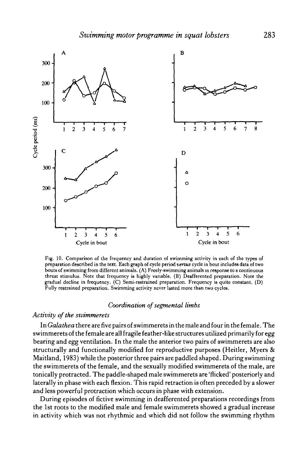

Fig. 10. Comparison of the frequency and duration of swimming activity in each of the types of preparation described in the text. Each graph of cycle period *versus* cycle in bout includes data of two bouts of swimming from different animals. (A) Freely-swimming animals in response to a continuous threat stimulus. Note that frequency is highly variable. (B) Deafferented preparation. Note the gradual decline in frequency. (C) Semi-restrained preparation. Frequency is quite constant. (D) Fully restrained preparation. Swimming activity never lasted more than two cycles.

# *Coordination of segmental limbs*

## *Activity of the swimmerets*

In *Galathea* there are five pairs of swimmerets in the male and four in the female. The swimmerets of the female are all fragile feather-like structures utilized primarily for egg bearing and egg ventilation. In the male the anterior two pairs of swimmerets are also structurally and functionally modified for reproductive purposes (Heitler, Myers & Maitland, 1983) while the posterior three pairs are paddled shaped. During swimming the swimmerets of the female, and the sexually modified swimmerets of the male, are tonically protracted. The paddle-shaped male swimmerets are 'flicked' posteriorly and laterally in phase with each flexion. This rapid retraction is often preceded by a slower and less powerful protraction which occurs in phase with extension.

During episodes of fictive swimming in deafferented preparations recordings from the 1st roots to the modified male and female swimmerets showed a gradual increase in activity which was not rhythmic and which did not follow the swimming rhythm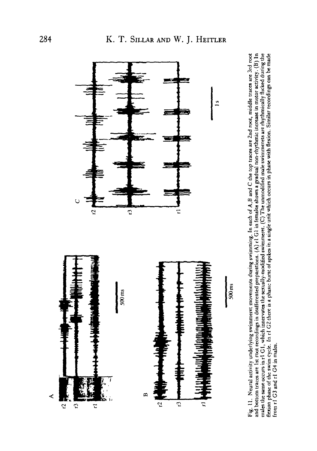

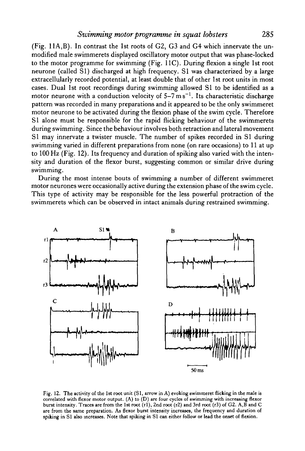# *Swimming motor programme in squat lobsters* 285

(Fig. 11A,B). In contrast the 1st roots of G2, G3 and G4 which innervate the unmodified male swimmerets displayed oscillatory motor output that was phase-locked to the motor programme for swimming (Fig. 11C). During flexion a single 1st root neurone (called S1) discharged at high frequency. S1 was characterized by a large extracellularly recorded potential, at least double that of other 1st root units in most cases. Dual 1st root recordings during swimming allowed SI to be identified as a motor neurone with a conduction velocity of  $5-7 \text{ m s}^{-1}$ . Its characteristic discharge pattern was recorded in many preparations and it appeared to be the only swimmeret motor neurone to be activated during the flexion phase of the swim cycle. Therefore SI alone must be responsible for the rapid flicking behaviour of the swimmerets during swimming. Since the behaviour involves both retraction and lateral movement SI may innervate a twister muscle. The number of spikes recorded in SI during swimming varied in different preparations from none (on rare occasions) to 11 at up to 100 Hz (Fig. 12). Its frequency and duration of spiking also varied with the intensity and duration of the flexor burst, suggesting common or similar drive during swimming.

During the most intense bouts of swimming a number of different swimmeret motor neurones were occasionally active during the extension phase of the swim cycle. This type of activity may be responsible for the less powerful protraction of the swimmerets which can be observed in intact animals during restrained swimming.



Fig. 12. The activity of the 1st root unit (SI, arrow in A) evoking swimmeret flicking in the male is correlated with flexor motor output. (A) to (D) are four cycles of swimming with increasing flexor burst intensity. Traces are from the 1st root (rl), 2nd root (r2) and 3rd root (r3) of G2. A,B and C are from the same preparation. As flexor burst intensity increases, the frequency and duration of spiking in SI also mcreases. Note that spiking in SI can either follow or lead the onset of flexion.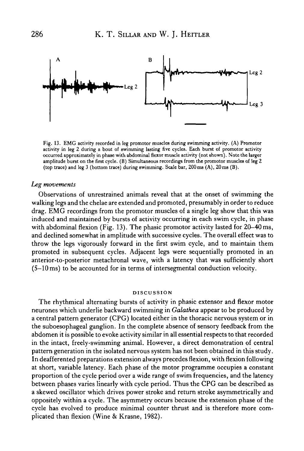

Fig. 13. EMG activity recorded in leg promotor muscles during swimming activity. (A) Promotor activity in leg 2 during a bout of swimming lasting five cycles. Each burst of promotor activity occurred approximately in phase with abdominal flexor muscle activity (not shown). Note the larger amplitude burst on the first cycle. (B) Simultaneous recordings from the promotor muscles of leg 2 (top trace) and leg 3 (bottom trace) during swimming. Scale bar, 200 ms (A), 20 ms (B).

#### *Leg movements*

Observations of unrestrained animals reveal that at the onset of swimming the walking legs and the chelae are extended and promoted, presumably in order to reduce drag. EMG recordings from the promotor muscles of a single leg show that this was induced and maintained by bursts of activity occurring in each swim cycle, in phase with abdominal flexion (Fig. 13). The phasic promotor activity lasted for 20–40 ms, and declined somewhat in amplitude with successive cycles. The overall effect was to throw the legs vigorously forward in the first swim cycle, and to maintain them promoted in subsequent cycles. Adjacent legs were sequentially promoted in an anterior-to-posterior metachronal wave, with a latency that was sufficiently short (5-10 ms) to be accounted for in terms of intersegmental conduction velocity.

#### **DISCUSSION**

The rhythmical alternating bursts of activity in phasic extensor and flexor motor neurones which underlie backward swimming in *Galathea* appear to be produced by a central pattern generator (CPG) located either in the thoracic nervous system or in the suboesophageal ganglion. In the complete absence of sensory feedback from the abdomen it is possible to evoke activity similar in all essential respects to that recorded in the intact, freely-swimming animal. However, a direct demonstration of central pattern generation in the isolated nervous system has not been obtained in this study. In deafferented preparations extension always precedes flexion, with flexion following at short, variable latency. Each phase of the motor programme occupies a constant proportion of the cycle period over a wide range of swim frequencies, and the latency between phases varies linearly with cycle period. Thus the CPG can be described as a skewed oscillator which drives power stroke and return stroke asymmetrically and oppositely within a cycle. The asymmetry occurs because the extension phase of the cycle has evolved to produce minimal counter thrust and is therefore more complicated than flexion (Wine & Krasne, 1982).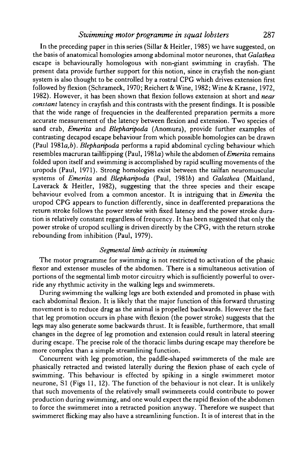# *Swimming motor programme in squat lobsters* 287

In the preceding paper in this series (Sillar & Heitler, 1985) we have suggested, on the basis of anatomical homologies among abdominal motor neurones, that *Galathea* escape is behaviourally homologous with non-giant swimming in crayfish. The present data provide further support for this notion, since in crayfish the non-giant system is also thought to be controlled by a rostral CPG which drives extension first followed by flexion (Schrameck, 1970; Reichert & Wine, 1982; Wine & Krasne, 1972, 1982). However, it has been shown that flexion follows extension at short and *near constant* latency in crayfish and this contrasts with the present findings. It is possible that the wide range of frequencies in the deafferented preparation permits a more accurate measurement of the latency between flexion and extension. Two species of sand crab, *Emerita* and *Blepharipoda* (Anomura), provide further examples of contrasting decapod escape behaviour from which possible homologies can be drawn (Paul 1981a,6). *Blepharipoda* performs a rapid abdominal cycling behaviour which resembles macruran tailflipping (Paul, 1981a) while the abdomen of *Emerita* remains folded upon itself and swimming is accomplished by rapid sculling movements of the uropods (Paul, 1971). Strong homologies exist between the tailfan neuromuscular systems of *Emerita* and *Blepharipoda* (Paul, 19816) and *Galathea* (Maitland, Laverack & Heitler, 1982), suggesting that the three species and their escape behaviour evolved from a common ancestor. It is intriguing that in *Emerita* the uropod CPG appears to function differently, since in deafferented preparations the return stroke follows the power stroke with fixed latency and the power stroke duration is relatively constant regardless of frequency. It has been suggested that only the power stroke of uropod sculling is driven directly by the CPG, with the return stroke rebounding from inhibition (Paul, 1979).

#### *Segmental limb activity in swimming*

The motor programme for swimming is not restricted to activation of the phasic flexor and extensor muscles of the abdomen. There is a simultaneous activation of portions of the segmental limb motor circuitry which is sufficiently powerful to override any rhythmic activity in the walking legs and swimmerets.

During swimming the walking legs are both extended and promoted in phase with each abdominal flexion. It is likely that the major function of this forward thrusting movement is to reduce drag as the animal is propelled backwards. However the fact that leg promotion occurs in phase with flexion (the power stroke) suggests that the legs may also generate some backwards thrust. It is feasible, furthermore, that small changes in the degree of leg promotion and extension could result in lateral steering during escape. The precise role of the thoracic limbs during escape may therefore be more complex than a simple streamlining function.

Concurrent with leg promotion, the paddle-shaped swimmerets of the male are phasically retracted and twisted laterally during the flexion phase of each cycle of swimming. This behaviour is effected by spiking in a single swimmeret motor neurone, SI (Figs 11, 12). The function of the behaviour is not clear. It is unlikely that such movements of the relatively small swimmerets could contribute to power production during swimming, and one would expect the rapid flexion of the abdomen to force the swimmeret into a retracted position anyway. Therefore we suspect that swimmeret flicking may also have a streamlining function. It is of interest that in the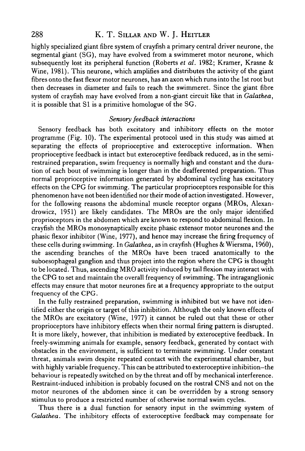# 288 K. T. SILLAR AND W. J. HEITLER

highly specialized giant fibre system of crayfish a primary central driver neurone, the segmental giant (SG), may have evolved from a swimmeret motor neurone, which subsequently lost its peripheral function (Roberts *et al.* 1982; Kramer, Krasne & Wine, 1981). This neurone, which amplifies and distributes the activity of the giant fibres onto the fast flexor motor neurones, has an axon which runs into the 1st root but then decreases in diameter and fails to reach the swimmeret. Since the giant fibre system of crayfish may have evolved from a non-giant circuit like that in *Galathea,* it is possible that SI is a primitive homologue of the SG.

## *Sensory feedback interactions*

Sensory feedback has both excitatory and inhibitory effects on the motor programme (Fig. 10). The experimental protocol used in this study was aimed at separating the effects of proprioceptive and exteroceptive information. When proprioceptive feedback is intact but exteroceptive feedback reduced, as in the semirestrained preparation, swim frequency is normally high and constant and the duration of each bout of swimming is longer than in the deafferented preparation. Thus normal proprioceptive information generated by abdominal cycling has excitatory effects on the CPG for swimming. The particular proprioceptors responsible for this phenomenon have not been identified nor their mode of action investigated. However, for the following reasons the abdominal muscle receptor organs (MROs, Alexandrowicz, 1951) are likely candidates. The MROs are the only major identified proprioceptors in the abdomen which are known to respond to abdominal flexion. In crayfish the MROs monosynaptically excite phasic extensor motor neurones and the phasic flexor inhibitor (Wine, 1977), and hence may increase the firing frequency of these cells during swimming. In *Galathea,* as in crayfish (Hughes & Wiersma, I960), the ascending branches of the MROs have been traced anatomically to the suboesophageal ganglion and thus project into the region where the CPG is thought to be located. Thus, ascending MRO activity induced by tail flexion may interact with the CPG to set and maintain the overall frequency of swimming. The intraganglionic effects may ensure that motor neurones fire at a frequency appropriate to the output frequency of the CPG.

In the fully restrained preparation, swimming is inhibited but we have not identified either the origin or target of this inhibition. Although the only known effects of the MROs are excitatory (Wine, 1977) it cannot be ruled out that these or other proprioceptors have inhibitory effects when their normal firing pattern is disrupted. It is more likely, however, that inhibition is mediated by exteroceptive feedback. In freely-swimming animals for example, sensory feedback, generated by contact with obstacles in the environment, is sufficient to terminate swimming. Under constant threat, animals swim despite repeated contact with the experimental chamber, but with highly variable frequency. This can be attributed to exteroceptive inhibition-the behaviour is repeatedly switched on by the threat and off by mechanical interference. Restraint-induced inhibition is probably focused on the rostral CNS and not on the motor neurones of the abdomen since it can be overridden by a strong sensory stimulus to produce a restricted number of otherwise normal swim cycles.

Thus there is a dual function for sensory input in the swimming system of *Galathea.* The inhibitory effects of exteroceptive feedback may compensate for